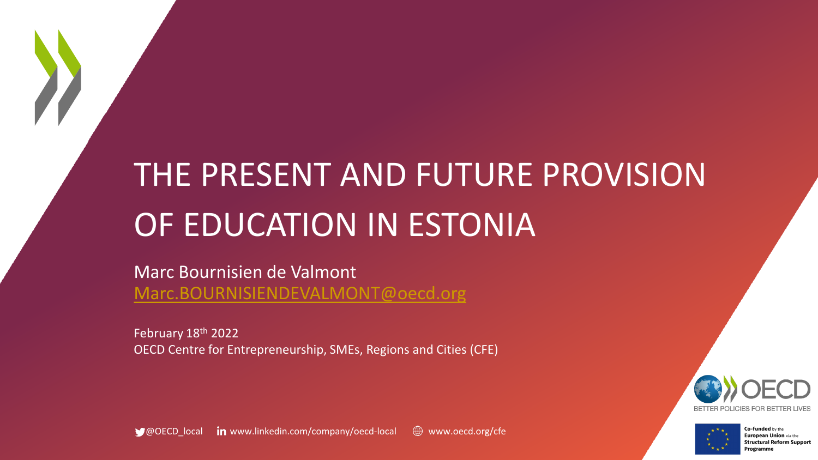# THE PRESENT AND FUTURE PROVISION OF EDUCATION IN ESTONIA

Marc Bournisien de Valmont [Marc.BOURNISIENDEVALMONT@oecd.org](mailto:Marc.BOURNISIENDEVALMONT@oecd.org)

February 18th 2022 OECD Centre for Entrepreneurship, SMEs, Regions and Cities (CFE)





Co-funded by the **European Union via the** structural Reform Support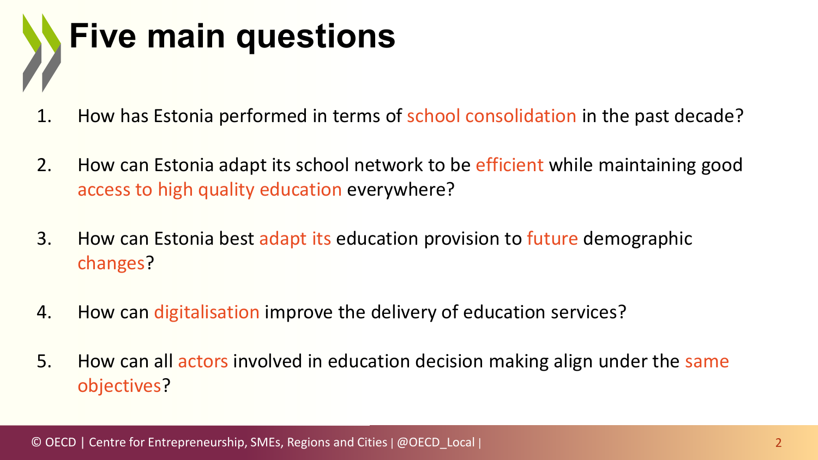

- 1. How has Estonia performed in terms of school consolidation in the past decade?
- 2. How can Estonia adapt its school network to be efficient while maintaining good access to high quality education everywhere?
- 3. How can Estonia best adapt its education provision to future demographic changes?
- 4. How can digitalisation improve the delivery of education services?
- 5. How can all actors involved in education decision making align under the same objectives?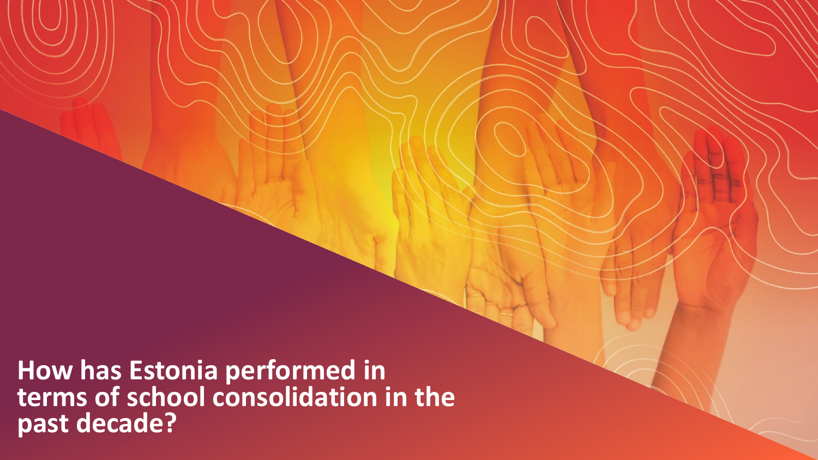**How has Estonia performed in terms of school consolidation in the past decade?**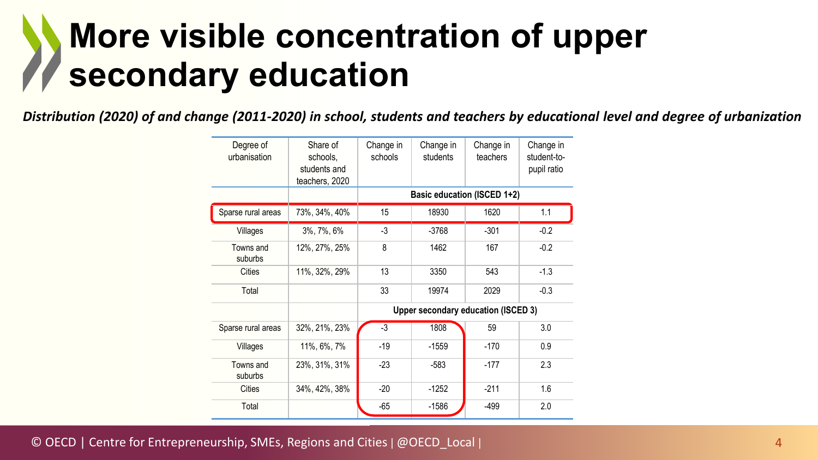### **More visible concentration of upper secondary education**

*Distribution (2020) of and change (2011-2020) in school, students and teachers by educational level and degree of urbanization*

| Degree of<br>urbanisation | Share of<br>schools.<br>students and<br>teachers, 2020 | Change in<br>schools                | Change in<br>students | Change in<br>teachers | Change in<br>student-to-<br>pupil ratio |  |  |  |
|---------------------------|--------------------------------------------------------|-------------------------------------|-----------------------|-----------------------|-----------------------------------------|--|--|--|
|                           |                                                        | <b>Basic education (ISCED 1+2)</b>  |                       |                       |                                         |  |  |  |
| Sparse rural areas        | 73%, 34%, 40%                                          | 15                                  | 18930                 | 1620                  | 1.1                                     |  |  |  |
| Villages                  | 3%, 7%, 6%                                             | -3                                  | $-3768$               | $-301$                | $-0.2$                                  |  |  |  |
| Towns and<br>suburbs      | 12%, 27%, 25%                                          | 8                                   | 1462                  | 167                   | $-0.2$                                  |  |  |  |
| Cities                    | 11%, 32%, 29%                                          | 13                                  | 3350                  | 543                   | $-1.3$                                  |  |  |  |
| Total                     |                                                        | 33                                  | 19974                 | 2029                  | $-0.3$                                  |  |  |  |
|                           |                                                        | Upper secondary education (ISCED 3) |                       |                       |                                         |  |  |  |
| Sparse rural areas        | 32%, 21%, 23%                                          | $-3$                                | 1808                  | 59                    | 3.0                                     |  |  |  |
| Villages                  | 11%, 6%, 7%                                            | $-19$                               | $-1559$               | $-170$                | 0.9                                     |  |  |  |
| Towns and<br>suburbs      | 23%, 31%, 31%                                          | $-23$                               | $-583$                | $-177$                | 2.3                                     |  |  |  |
| Cities                    | 34%, 42%, 38%                                          | $-20$                               | $-1252$               | $-211$                | 1.6                                     |  |  |  |
| Total                     |                                                        | $-65$                               | $-1586$               | $-499$                | 2.0                                     |  |  |  |

#### © OECD | Centre for Entrepreneurship, SMEs, Regions and Cities | @OECD\_Local |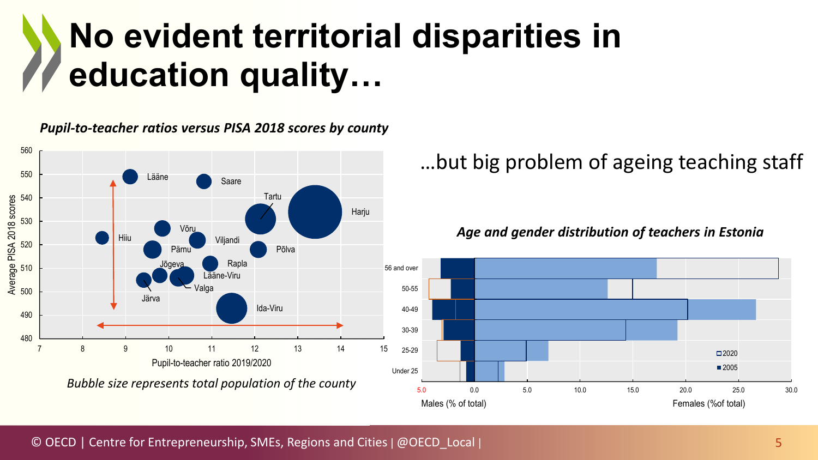#### **No evident territorial disparities in education quality…**

*Pupil-to-teacher ratios versus PISA 2018 scores by county*

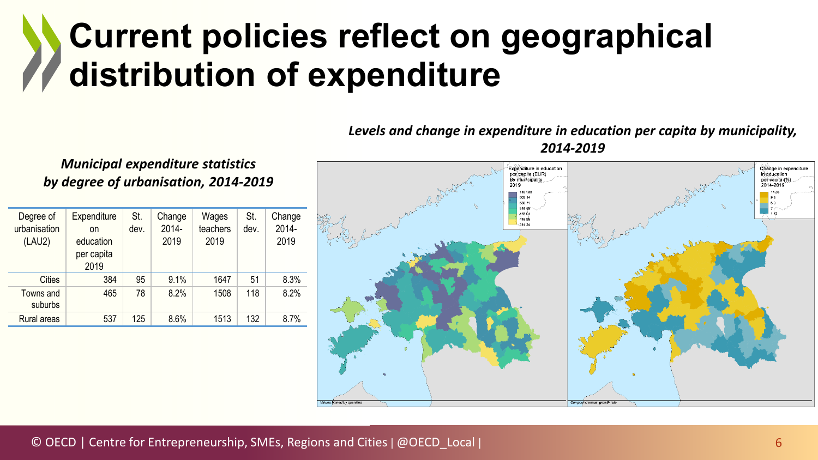### **Current policies reflect on geographical distribution of expenditure**

*Levels and change in expenditure in education per capita by municipality, 2014-2019*

menditure in education Change in expenditur per capita (EUR) *neducation* By municipality per capita (% 516.55  $-478.9$ Change  $\lambda$ .<br>Steat 2014- 2019

*Municipal expenditure statistics by degree of urbanisation, 2014-2019*

| Degree of<br>urbanisation<br>(LAU2) | Expenditure<br>on<br>education<br>per capita<br>2019 | St.<br>dev. | Change<br>2014-<br>2019 | Wages<br>teachers<br>2019 | St.<br>dev. | Change<br>$2014 -$<br>2019 |
|-------------------------------------|------------------------------------------------------|-------------|-------------------------|---------------------------|-------------|----------------------------|
| <b>Cities</b>                       | 384                                                  | 95          | 9.1%                    | 1647                      | 51          | 8.3%                       |
| Towns and<br>suburbs                | 465                                                  | 78          | 8.2%                    | 1508                      | 118         | 8.2%                       |
| Rural areas                         | 537                                                  | 125         | 8.6%                    | 1513                      | 132         | 8.7%                       |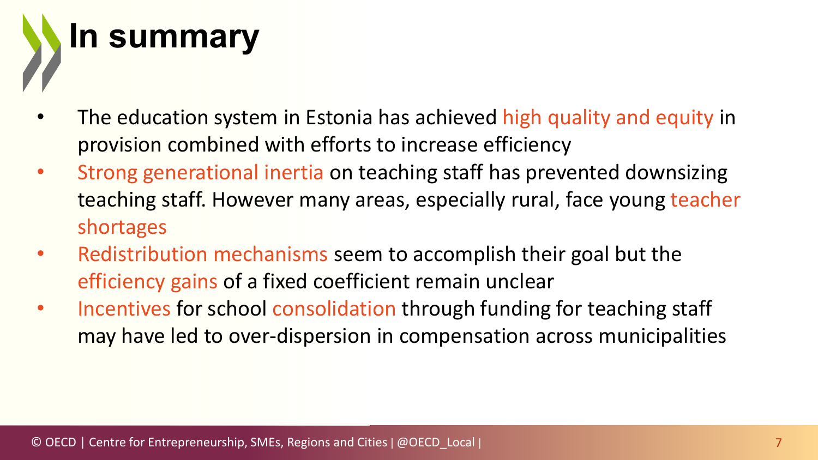

- The education system in Estonia has achieved high quality and equity in provision combined with efforts to increase efficiency
- Strong generational inertia on teaching staff has prevented downsizing teaching staff. However many areas, especially rural, face young teacher shortages
- Redistribution mechanisms seem to accomplish their goal but the efficiency gains of a fixed coefficient remain unclear
- Incentives for school consolidation through funding for teaching staff may have led to over-dispersion in compensation across municipalities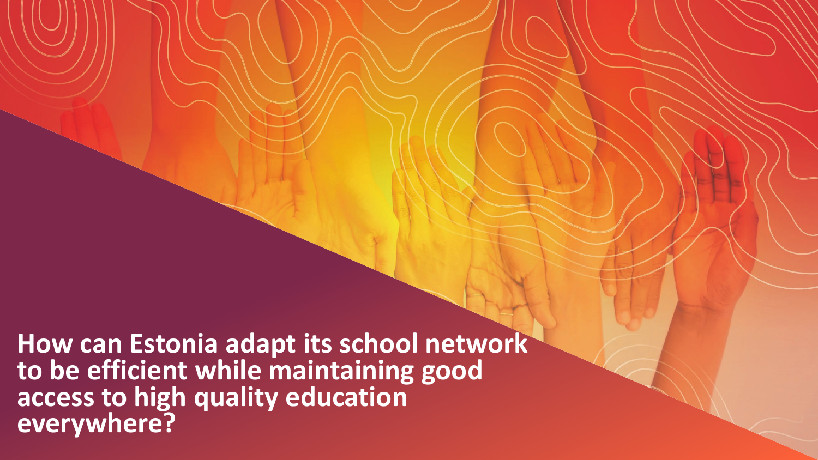© OECD | Centre for Entrepreneurship, SMEs, Regions and Cities | @OECD\_Local | **How can Estonia adapt its school network to be efficient while maintaining good access to high quality education everywhere?**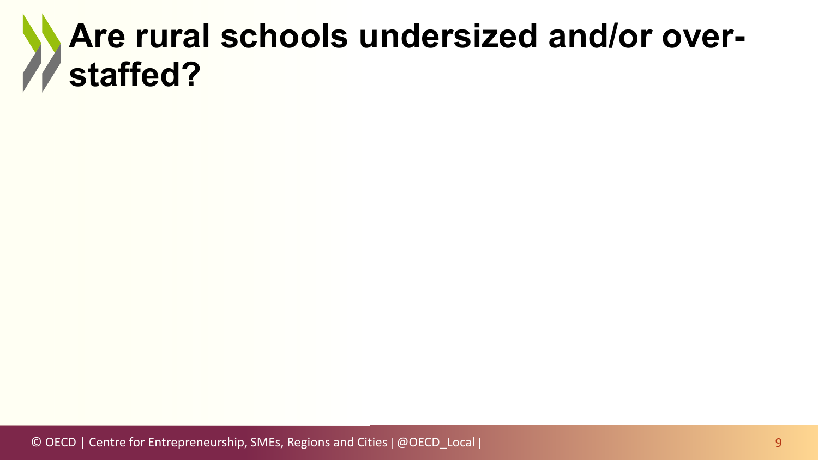### **Are rural schools undersized and/or overstaffed?**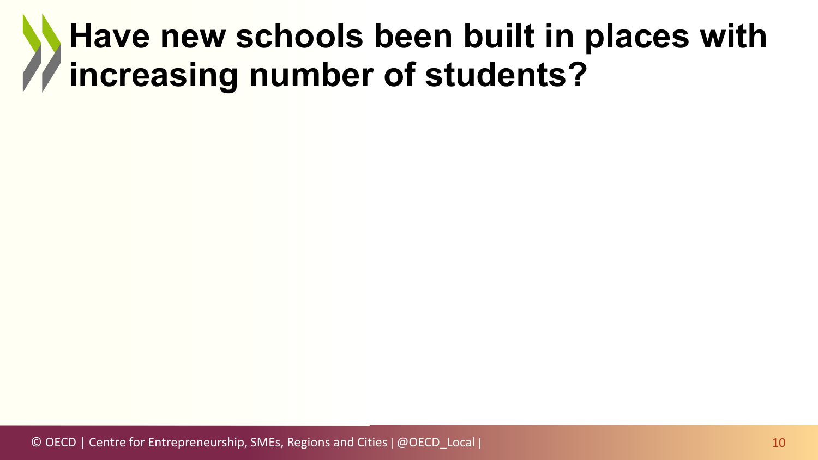### **Have new schools been built in places with increasing number of students?**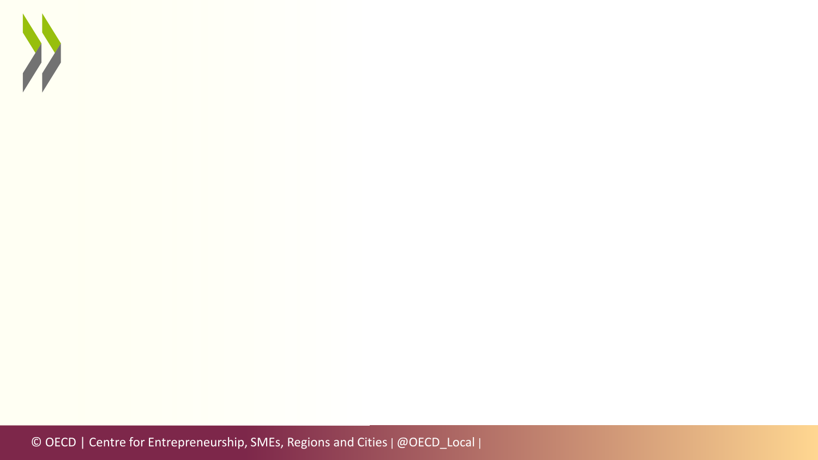

© OECD | Centre for Entrepreneurship, SMEs, Regions and Cities | @OECD\_Local |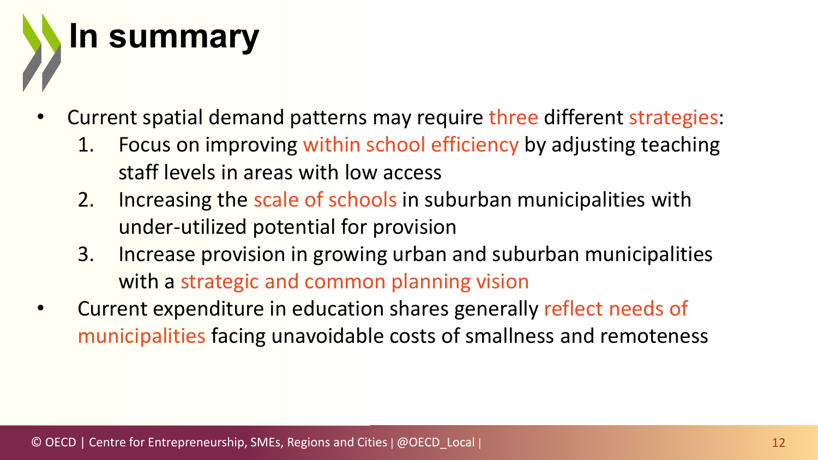

- Current spatial demand patterns may require three different strategies:
	- 1. Focus on improving within school efficiency by adjusting teaching staff levels in areas with low access
	- 2. Increasing the scale of schools in suburban municipalities with under-utilized potential for provision
	- 3. Increase provision in growing urban and suburban municipalities with a strategic and common planning vision
- Current expenditure in education shares generally reflect needs of municipalities facing unavoidable costs of smallness and remoteness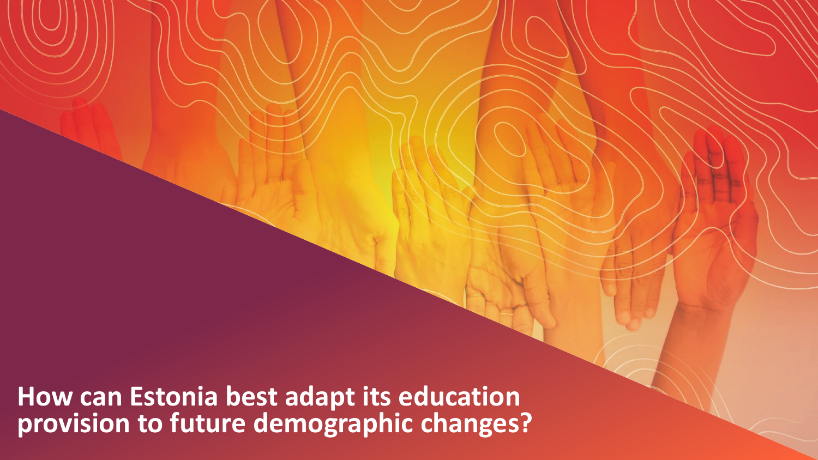$C$  oecasions and  $C$  of  $\mathbb{R}$ ,  $C$  of  $\mathbb{R}$  and  $C$  and  $C$  and  $C$  and  $C$ **How can Estonia best adapt its education provision to future demographic changes?**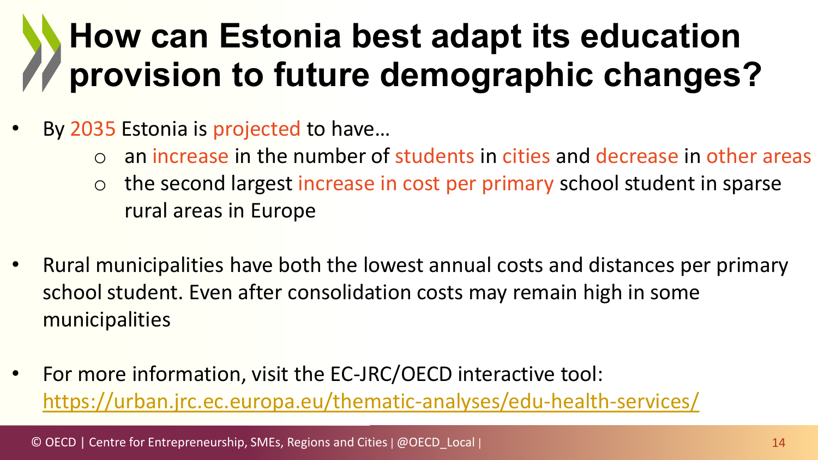## **How can Estonia best adapt its education provision to future demographic changes?**

- By 2035 Estonia is projected to have…
	- an increase in the number of students in cities and decrease in other areas
	- the second largest increase in cost per primary school student in sparse rural areas in Europe
- Rural municipalities have both the lowest annual costs and distances per primary school student. Even after consolidation costs may remain high in some municipalities
- For more information, visit the EC-JRC/OECD interactive tool: <https://urban.jrc.ec.europa.eu/thematic-analyses/edu-health-services/>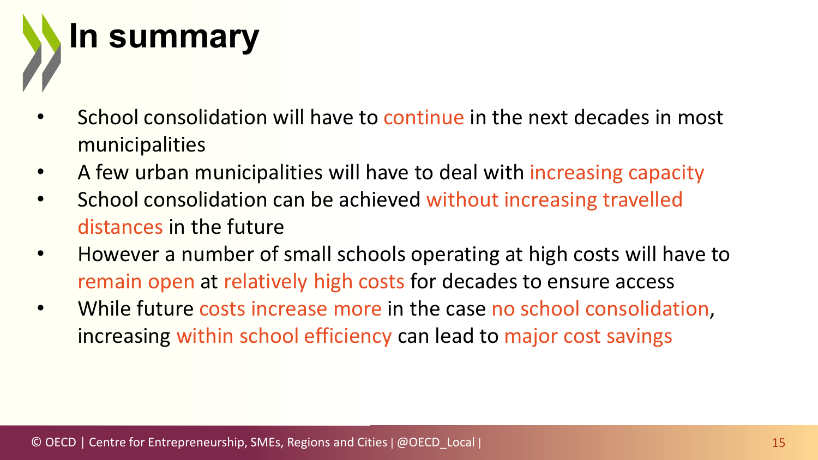

- School consolidation will have to continue in the next decades in most municipalities
- A few urban municipalities will have to deal with increasing capacity
- School consolidation can be achieved without increasing travelled distances in the future
- However a number of small schools operating at high costs will have to remain open at relatively high costs for decades to ensure access
- While future costs increase more in the case no school consolidation, increasing within school efficiency can lead to major cost savings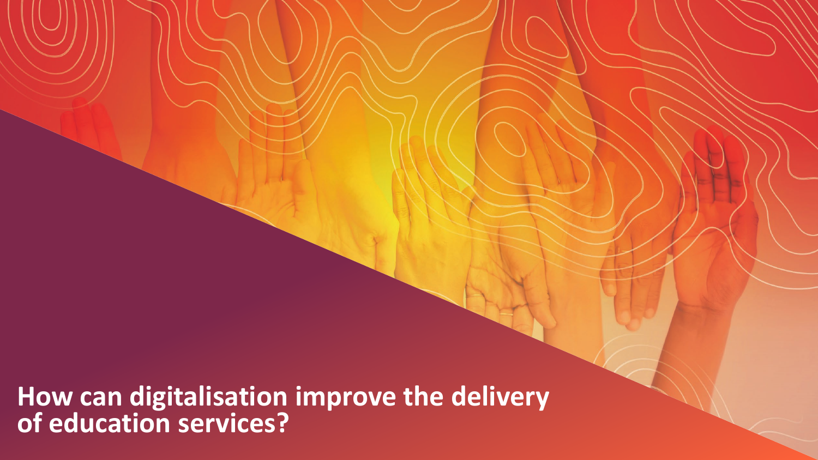**How can digitalisation improve the delivery of education services?**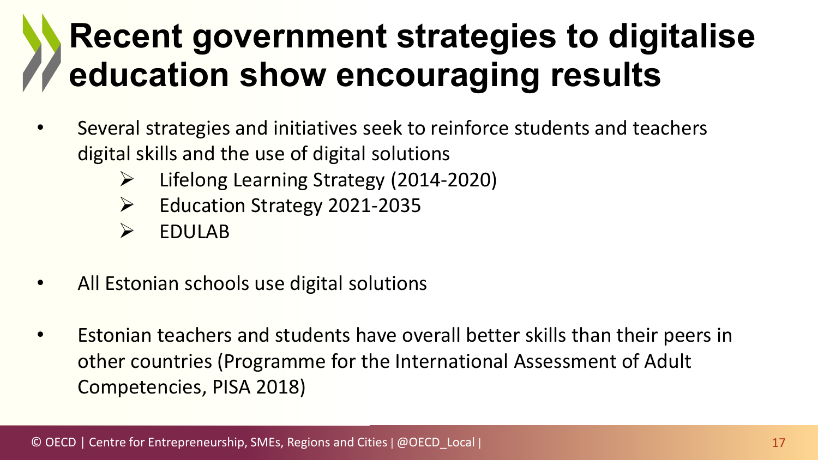### **Recent government strategies to digitalise education show encouraging results**

- Several strategies and initiatives seek to reinforce students and teachers digital skills and the use of digital solutions
	- $\triangleright$  Lifelong Learning Strategy (2014-2020)
	- $\triangleright$  Education Strategy 2021-2035
	- $\triangleright$  EDULAB
- All Estonian schools use digital solutions
- Estonian teachers and students have overall better skills than their peers in other countries (Programme for the International Assessment of Adult Competencies, PISA 2018)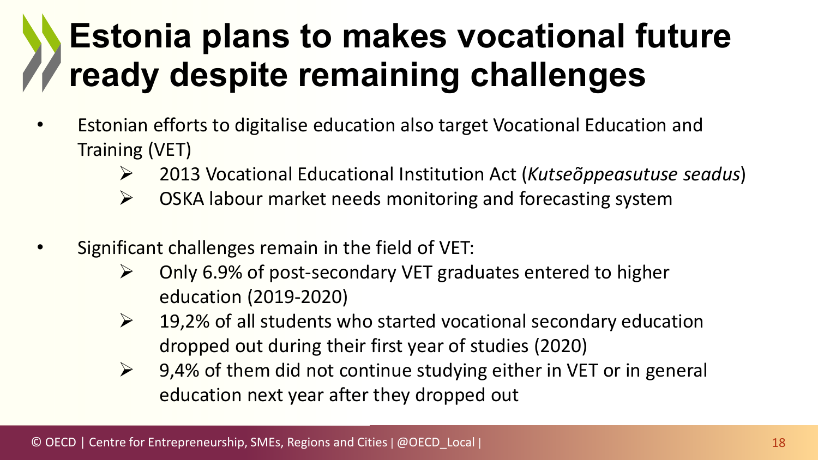## **Estonia plans to makes vocational future ready despite remaining challenges**

- Estonian efforts to digitalise education also target Vocational Education and Training (VET)
	- 2013 Vocational Educational Institution Act (*Kutseõppeasutuse seadus*)
	- $\triangleright$  OSKA labour market needs monitoring and forecasting system
- Significant challenges remain in the field of VET:
	- $\triangleright$  Only 6.9% of post-secondary VET graduates entered to higher education (2019-2020)
	- $\geq$  19,2% of all students who started vocational secondary education dropped out during their first year of studies (2020)
	- $\geq$  9,4% of them did not continue studying either in VET or in general education next year after they dropped out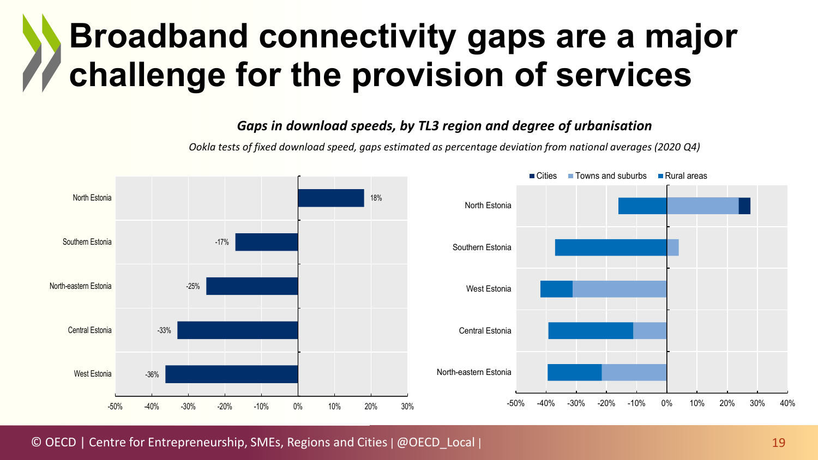#### **Broadband connectivity gaps are a major challenge for the provision of services**

#### *Gaps in download speeds, by TL3 region and degree of urbanisation*

*Ookla tests of fixed download speed, gaps estimated as percentage deviation from national averages (2020 Q4)*

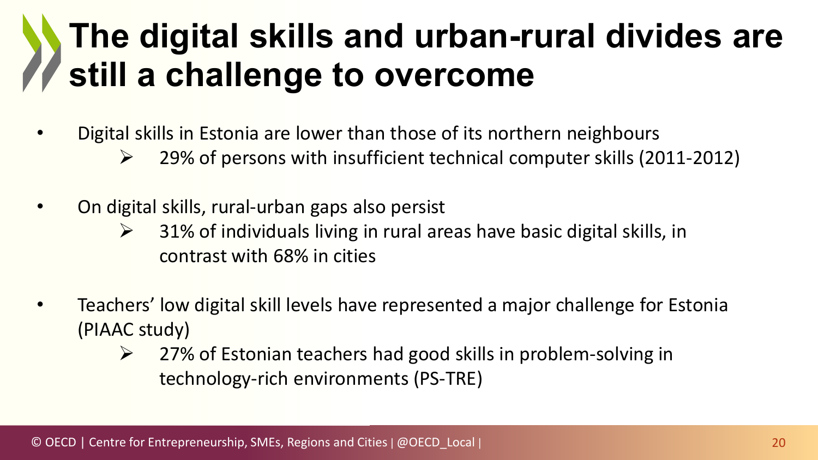### **The digital skills and urban-rural divides are still a challenge to overcome**

- Digital skills in Estonia are lower than those of its northern neighbours
	- $\geq$  29% of persons with insufficient technical computer skills (2011-2012)
- On digital skills, rural-urban gaps also persist
	- $\geq$  31% of individuals living in rural areas have basic digital skills, in contrast with 68% in cities
- Teachers' low digital skill levels have represented a major challenge for Estonia (PIAAC study)
	- $\geq$  27% of Estonian teachers had good skills in problem-solving in technology-rich environments (PS-TRE)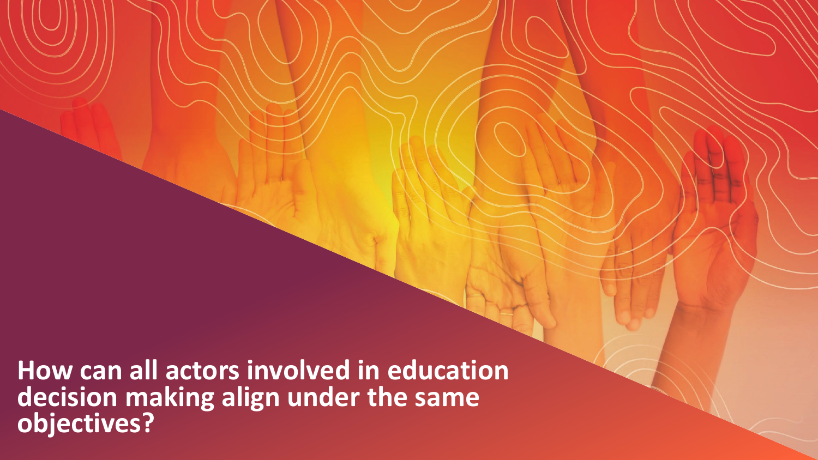$\mathcal{O}_{\mathcal{C}}$  ,  $\mathcal{O}_{\mathcal{C}}$  ,  $\mathcal{O}_{\mathcal{C}}$  ,  $\mathcal{O}_{\mathcal{C}}$  and  $\mathcal{O}_{\mathcal{C}}$  and  $\mathcal{O}_{\mathcal{C}}$  and  $\mathcal{O}_{\mathcal{C}}$  ,  $\mathcal{O}_{\mathcal{C}}$  ,  $\mathcal{O}_{\mathcal{C}}$  ,  $\mathcal{O}_{\mathcal{C}}$  ,  $\mathcal{O}_{\mathcal{C}}$  ,  $\mathcal{O}_{\mathcal{C}}$  ,  $\mathcal{O}_{\mathcal{$ **How can all actors involved in education decision making align under the same objectives?**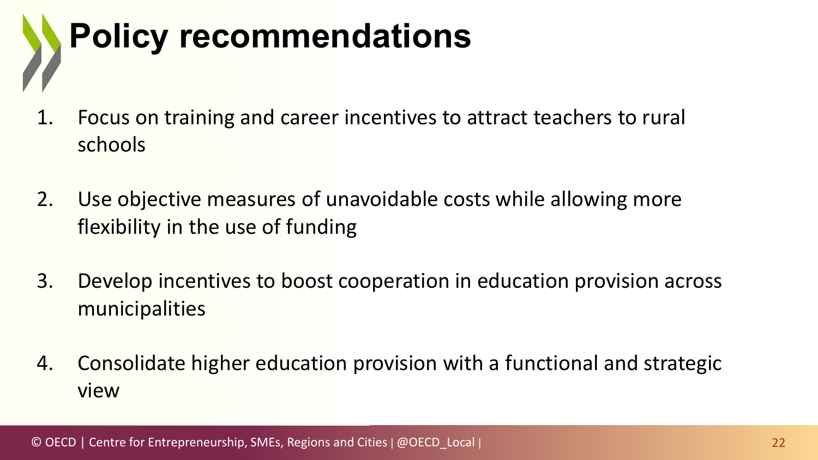# **Policy recommendations**

- 1. Focus on training and career incentives to attract teachers to rural schools
- 2. Use objective measures of unavoidable costs while allowing more flexibility in the use of funding
- 3. Develop incentives to boost cooperation in education provision across municipalities
- 4. Consolidate higher education provision with a functional and strategic view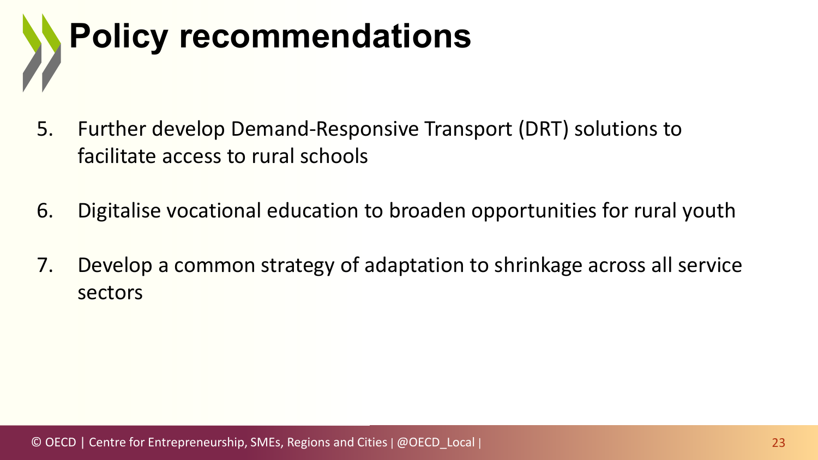

- 5. Further develop Demand-Responsive Transport (DRT) solutions to facilitate access to rural schools
- 6. Digitalise vocational education to broaden opportunities for rural youth
- 7. Develop a common strategy of adaptation to shrinkage across all service sectors